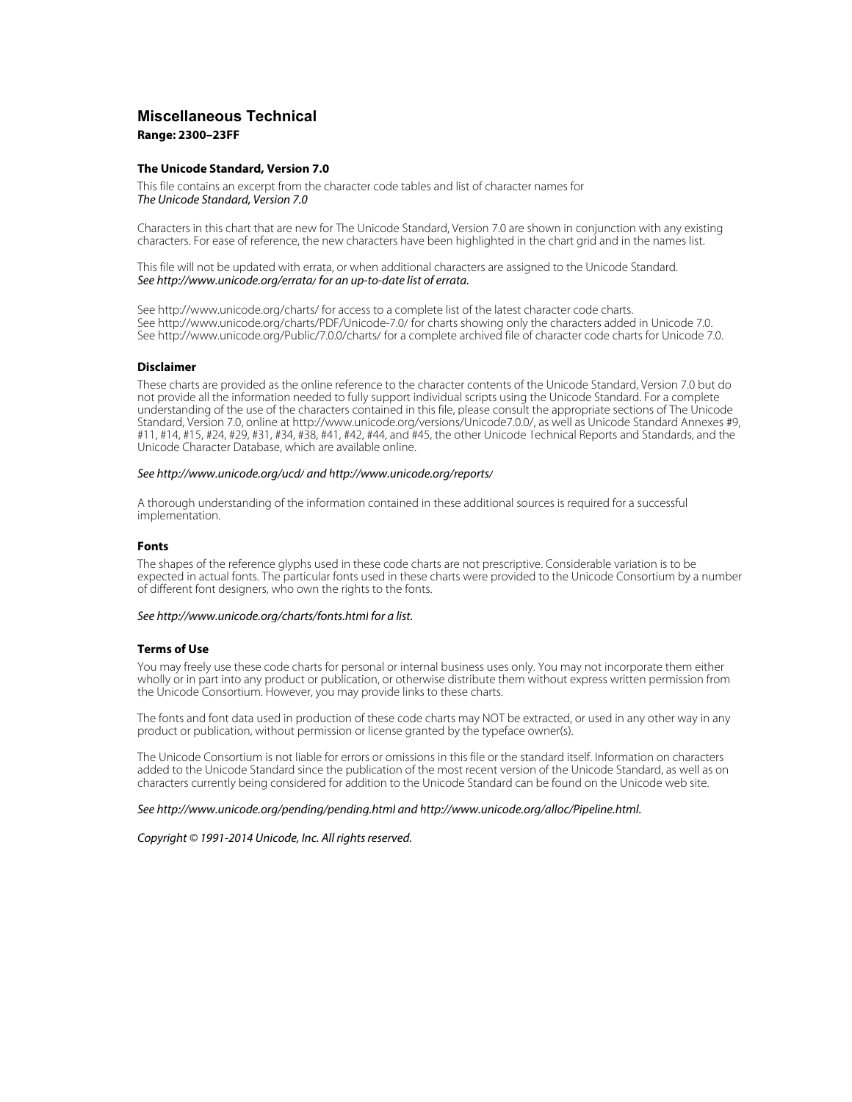# **Miscellaneous Technical Range: 2300–23FF**

### **The Unicode Standard, Version 7.0**

This file contains an excerpt from the character code tables and list of character names for The Unicode Standard, Version 7.0

Characters in this chart that are new for The Unicode Standard, Version 7.0 are shown in conjunction with any existing characters. For ease of reference, the new characters have been highlighted in the chart grid and in the names list.

This file will not be updated with errata, or when additional characters are assigned to the Unicode Standard. See <http://www.unicode.org/errata/>for an up-to-date list of errata.

See <http://www.unicode.org/charts/> for access to a complete list of the latest character code charts. See <http://www.unicode.org/charts/PDF/Unicode-7.0/>for charts showing only the characters added in Unicode 7.0. See <http://www.unicode.org/Public/7.0.0/charts/> for a complete archived file of character code charts for Unicode 7.0.

### **Disclaimer**

These charts are provided as the online reference to the character contents of the Unicode Standard, Version 7.0 but do not provide all the information needed to fully support individual scripts using the Unicode Standard. For a complete understanding of the use of the characters contained in this file, please consult the appropriate sections of The Unicode Standard, Version 7.0, online at [http://www.unicode.org/versions/Unicode7.0.0/,](http://www.unicode.org/versions/Unicode7.0.0/) as well as Unicode Standard Annexes #9, #11, #14, #15, #24, #29, #31, #34, #38, #41, #42, #44, and #45, the other Unicode Technical Reports and Standards, and the Unicode Character Database, which are available online.

#### See <http://www.unicode.org/ucd/>and<http://www.unicode.org/reports/>

A thorough understanding of the information contained in these additional sources is required for a successful implementation.

### **Fonts**

The shapes of the reference glyphs used in these code charts are not prescriptive. Considerable variation is to be expected in actual fonts. The particular fonts used in these charts were provided to the Unicode Consortium by a number of different font designers, who own the rights to the fonts.

### See <http://www.unicode.org/charts/fonts.html> for a list.

### **Terms of Use**

You may freely use these code charts for personal or internal business uses only. You may not incorporate them either wholly or in part into any product or publication, or otherwise distribute them without express written permission from the Unicode Consortium. However, you may provide links to these charts.

The fonts and font data used in production of these code charts may NOT be extracted, or used in any other way in any product or publication, without permission or license granted by the typeface owner(s).

The Unicode Consortium is not liable for errors or omissions in this file or the standard itself. Information on characters added to the Unicode Standard since the publication of the most recent version of the Unicode Standard, as well as on characters currently being considered for addition to the Unicode Standard can be found on the Unicode web site.

### See <http://www.unicode.org/pending/pending.html> and [http://www.unicode.org/alloc/Pipeline.html.](http://www.unicode.org/alloc/Pipeline.html)

### Copyright © 1991-2014 Unicode, Inc. All rights reserved.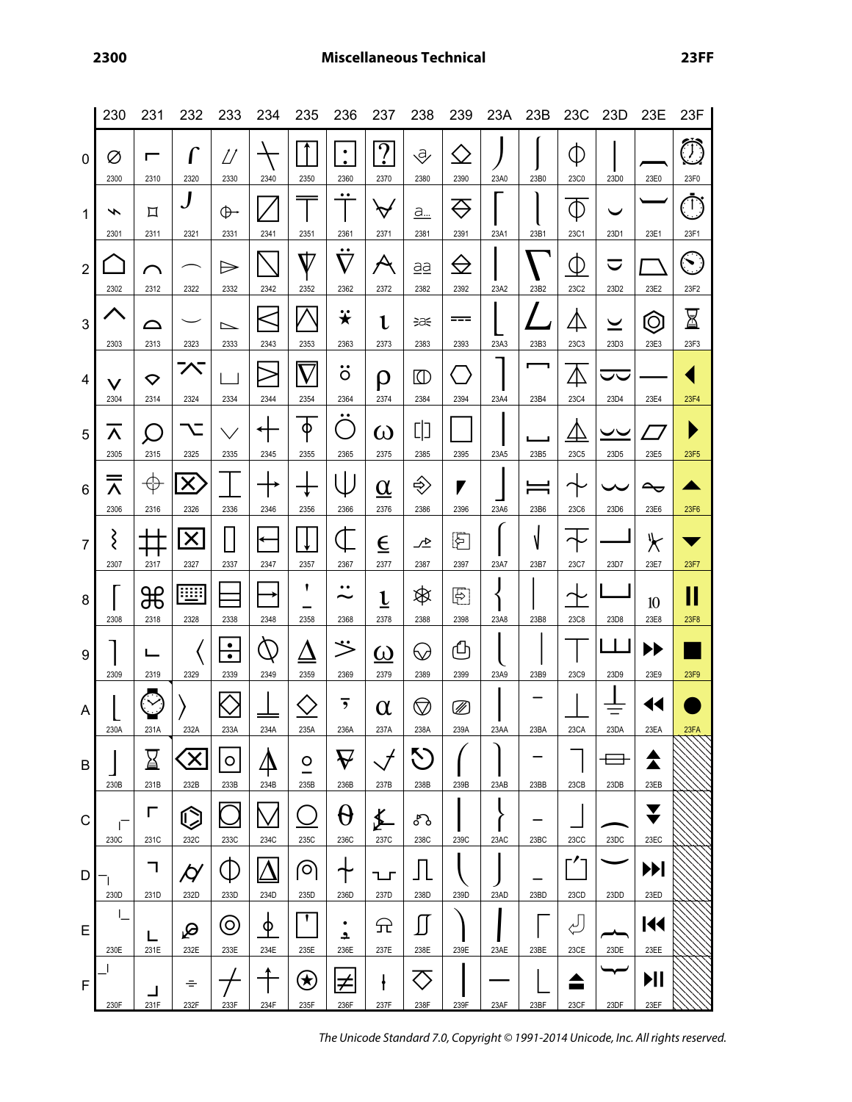|                 | 230                  | 231                 | 232                             | 233                               | 234                                                               | 235                            | 236                                                   | 237                                | 238                  | 239                       | 23A  | 23B       |                     | 23C 23D                          | 23E                           | 23F                 |
|-----------------|----------------------|---------------------|---------------------------------|-----------------------------------|-------------------------------------------------------------------|--------------------------------|-------------------------------------------------------|------------------------------------|----------------------|---------------------------|------|-----------|---------------------|----------------------------------|-------------------------------|---------------------|
| 0               | Ø<br>2300            | 2310                | 2320                            | D<br>2330                         | 2340                                                              | 2350                           | ٠<br>$\bullet$<br>2360                                | <u>?</u><br>2370                   | ₹<br>2380            | <b>( )</b><br>2390        | 23A0 | 23B0      | ⋔<br>23C0           | 23D0                             | 23E0                          | $\bigcirc$<br>23F0  |
| 1               | ∽<br>2301            | 口<br>2311           | 2321                            | ⊕<br>2331                         | 2341                                                              | 2351                           | $\bullet$<br>2361                                     | $\bm{\triangledown}$<br>2371       | a<br>2381            | $\Leftrightarrow$<br>2391 | 23A1 | 23B1      | $\Phi$<br>23C1      | 23D1                             | 23E1                          | <u>ري</u><br>23F1   |
| $\overline{2}$  | 2302                 | ⌒<br>2312           | 2322                            | $\Rightarrow$<br>2332             | 2342                                                              | $\rm V$<br>2352                | $\bullet\bullet$<br>$\nabla$<br>2362                  | $\boldsymbol{\mathcal{A}}$<br>2372 | aa<br>2382           | $\bigoplus$<br>2392       | 23A2 | 23B2      | $\Phi$<br>23C2      | $\blacktriangledown$<br>23D2     | 23E2                          | $\bigcirc$<br>23F2  |
| $\mathbf{3}$    | 2303                 | △<br>2313           | 2323                            | $\overline{\phantom{0}}$<br>2333  | 2343                                                              | 2353                           | <mark><math>\ddot{\textbf{x}}</math></mark><br>2363   | l<br>2373                          | ∋a€<br>2383          | ===<br>2393               | 23A3 | 23B3      | <br>23C3            | $\overline{\phantom{0}}$<br>23D3 | $\widehat{Q}$<br>23E3         | $\boxtimes$<br>23F3 |
| 4               | $\checkmark$<br>2304 | ▽<br>2314           | へ<br>2324                       | 2334                              | 2344                                                              | 2354                           | ٠.<br>O<br>2364                                       | ρ<br>2374                          | ◫<br>2384            | 2394                      | 23A4 | 23B4      | $\triangle$<br>23C4 | ᄉ<br>23D4                        | 23E4                          | 23F4                |
| 5               | Λ<br>2305            | $\subset$<br>2315   | 2325                            | 2335                              | 2345                                                              | Φ<br>2355                      | $\bullet\bullet$<br>ri<br>1970<br>2365                | ω<br>2375                          | 띠<br>2385            | 2395                      | 23A5 | 23B5      | 47<br>23C5          | ーー<br>23D <sub>5</sub>           | 23E5                          | 23F5                |
| $6\phantom{1}6$ | ═<br>Λ<br>2306       | $\oplus$<br>2316    | X<br>2326                       | 2336                              | 2346                                                              | 2356                           | 2366                                                  | $\underline{\alpha}$<br>2376       | ♦<br>2386            | Г<br>2396                 | 23A6 | 23B6      | 23C6                | 23D6                             | $\rightarrow$<br>23E6         | 23F6                |
| $\overline{7}$  | ξ<br>2307            | 2317                | X<br>2327                       | 2337                              | ←<br>2347                                                         | 2357                           | 1<br>2367                                             | $\overline{\epsilon}$<br>2377      | ᅶ<br>2387            | 妇<br>2397                 | 23A7 | N<br>23B7 | 23C7                | 23D7                             | $\blacktriangleright$<br>23E7 | 23F7                |
| 8               | 2308                 | ₩<br>2318           | W<br>2328                       | 2338                              | 2348                                                              | 1<br>2358                      | $\bullet\bullet$<br>$\widetilde{\phantom{m}}$<br>2368 | $\underline{\mathfrak{t}}$<br>2378 | <br>2388             | 图<br>2398                 | 23A8 | 23B8      | 23C8                | 23D8                             | 10<br>23E8                    | II<br>23F8          |
| 9               | 2309                 | 2319                | 2329                            | $\frac{\bullet}{\bullet}$<br>2339 | $\mathcal{D}% _{M_{1},M_{2}}^{\alpha,\beta}(\varepsilon)$<br>2349 | 2359                           | ジ<br>2369                                             | $\overline{\omega}$<br>2379        | $\heartsuit$<br>2389 | ሮኮ<br>2399                | 23A9 | 23B9      | 23C9                | 23D9                             | ▶▶<br>23E9                    | 23F9                |
| A               | 230A                 | 231A                | 232A                            | 233A                              | 234A                                                              | 235A                           | 236A                                                  | $\alpha$<br>237A                   | $\heartsuit$<br>238A | ▨<br>239A                 | 23AA | 23BA      | 23CA                | 23DA                             | 14<br>23EA                    | 23FA                |
| B               | 230B                 | $\boxtimes$<br>231B | $\overline{\mathsf{X}}$<br>232B | $\circ$<br>233B                   | 234B                                                              | O<br>235B                      | $\bm{\nabla}$<br>236B                                 | 237B                               | <b>N</b><br>238B     | 239B                      | 23AB | 23BB      | 23CB                | 23DB                             | 23EB                          |                     |
| C               | Г<br>230C            | Е<br>231C           | $\widehat{\mathbb{C}}$<br>232C  | 233C                              | 234C                                                              | 235C                           | $\Theta$<br>236C                                      | ≸<br>237C                          | ᡒ᠔<br>238C           | 239C                      | 23AC | 23BC      | 23CC                | 23DC                             | $\blacktriangledown$<br>23EC  |                     |
| D               | 230D                 | ┑<br>231D           | 9<br>232D                       | Œ.<br>233D                        | 234D                                                              | (၀)<br>235D                    | ╅<br>236D                                             | ᅩ<br>237D                          | 238D                 | 239D                      | 23AD | 23BD      | 23CD                | 23DD                             | H<br>23ED                     |                     |
| E               | L<br>230E            | 231E                | ஜ<br>232E                       | $\odot$<br>233E                   | <u>ቀ</u><br>234E                                                  | 235E                           | $\bullet$<br>$\overline{\mathbf{r}}$<br>236E          | 규<br>237E                          | 238E                 | 239E                      | 23AE | 23BE      | للع<br>23CE         | 23DE                             | 144<br>23EE                   |                     |
| F               | 230F                 | 231F                | ÷<br>232F                       | 233F                              | 234F                                                              | $\left( \star \right)$<br>235F | ≠<br>236F                                             | $\mathbf{f}$<br>237F               | 238F                 | 239F                      | 23AF | 23BF      | 23CF                | 23DF                             | ИI<br>23EF                    |                     |

The Unicode Standard 7.0, Copyright © 1991-2014 Unicode, Inc. All rights reserved.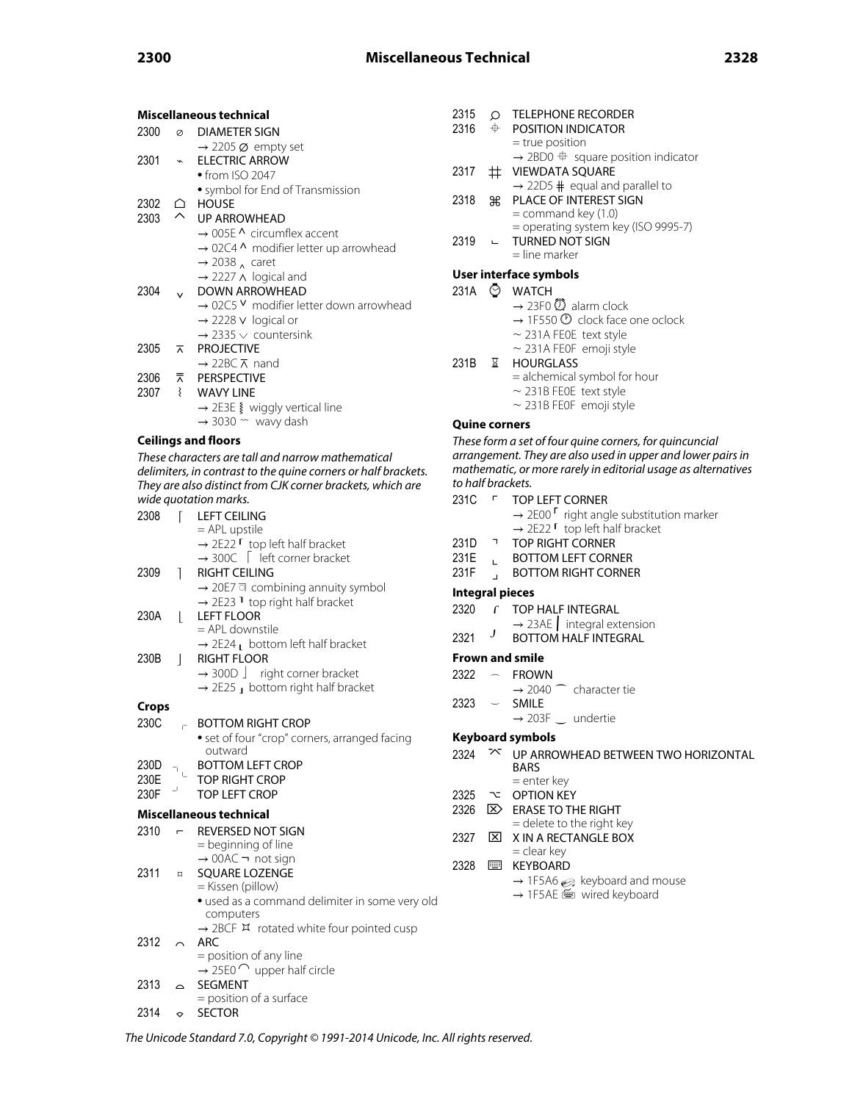| Miscellaneous technical |         |                                                                |  |  |  |  |
|-------------------------|---------|----------------------------------------------------------------|--|--|--|--|
| 2300                    | $\circ$ | DIAMETER SIGN                                                  |  |  |  |  |
|                         |         | $\rightarrow$ 2205 $\varnothing$ empty set                     |  |  |  |  |
| 2301                    | $\star$ | <b>FI FCTRIC ARROW</b>                                         |  |  |  |  |
|                         |         | $\bullet$ from ISO 2047                                        |  |  |  |  |
|                         |         | · symbol for End of Transmission                               |  |  |  |  |
| 2302                    | ≏       | <b>HOUSE</b>                                                   |  |  |  |  |
| 2303                    | $\sim$  | <b>UP ARROWHEAD</b>                                            |  |  |  |  |
|                         |         | $\rightarrow$ 005F $\Lambda$ circumflex accent                 |  |  |  |  |
|                         |         | → 02C4 ^ modifier letter up arrowhead                          |  |  |  |  |
|                         |         | $\rightarrow$ 2038 $_{\Lambda}$ caret                          |  |  |  |  |
|                         |         | $\rightarrow$ 2227 $\land$ logical and                         |  |  |  |  |
| 2304                    |         | <b>DOWN ARROWHEAD</b>                                          |  |  |  |  |
|                         |         | $\rightarrow$ 02C5 $\vee$ modifier letter down arrowhead       |  |  |  |  |
|                         |         | $\rightarrow$ 2228 v logical or                                |  |  |  |  |
|                         |         | $\rightarrow$ 2335 $\vee$ countersink                          |  |  |  |  |
| 2305                    |         | <b>T</b> PROJECTIVE                                            |  |  |  |  |
|                         |         | $\rightarrow$ 22BC $\overline{\wedge}$ nand                    |  |  |  |  |
|                         |         | 2306 K PERSPECTIVE                                             |  |  |  |  |
| 2307                    |         | wavy LINE                                                      |  |  |  |  |
|                         |         | $\rightarrow$ 2E3E § wiggly vertical line                      |  |  |  |  |
|                         |         | $\rightarrow$ 3030 $\sim$ wavy dash                            |  |  |  |  |
|                         |         | <b>Ceilings and floors</b>                                     |  |  |  |  |
|                         |         | These characters are tall and narrow mathematical              |  |  |  |  |
|                         |         | delimiters, in contrast to the quine corners or half brackets. |  |  |  |  |
|                         |         | They are also distinct from CJK corner brackets, which are     |  |  |  |  |
| wide quotation marks    |         |                                                                |  |  |  |  |

|              |                | wide quotation marks.                                             |
|--------------|----------------|-------------------------------------------------------------------|
| 2308         | Г              | <b>LEFT CEILING</b>                                               |
|              |                | $=$ APL upstile                                                   |
|              |                | $\rightarrow$ 2E22 $\Gamma$ top left half bracket                 |
|              |                | $\rightarrow$ 300C $\int$ left corner bracket                     |
| 2309         | 1              | <b>RIGHT CEILING</b>                                              |
|              |                | → 20E7 a combining annuity symbol                                 |
|              |                | $\rightarrow$ 2E23 <sup>1</sup> top right half bracket            |
| 230A         | L              | <b>LEFT FLOOR</b>                                                 |
|              |                | = APL downstile                                                   |
|              |                | $\rightarrow$ 2E24 $\mu$ bottom left half bracket                 |
| 230B         | $\overline{1}$ | <b>RIGHT FLOOR</b>                                                |
|              |                | $\rightarrow$ 300D $\rfloor$ right corner bracket                 |
|              |                | $\rightarrow$ 2E25 $\text{J}$ bottom right half bracket           |
| <b>Crops</b> |                |                                                                   |
| 230C         |                | <b>BOTTOM RIGHT CROP</b>                                          |
|              |                |                                                                   |
|              |                | • set of four "crop" corners, arranged facing<br>outward          |
| 230D         |                | <b>BOTTOM LEFT CROP</b>                                           |
| 230E         |                | <b>TOP RIGHT CROP</b>                                             |
| 230F         |                | <b>TOP LEFT CROP</b>                                              |
|              |                |                                                                   |
|              |                | Miscellaneous technical                                           |
| 2310         |                | REVERSED NOT SIGN                                                 |
|              |                | = beginning of line                                               |
|              |                | $\rightarrow$ 00AC $\rightarrow$ not sign                         |
| 2311         | $\Box$         | <b>SQUARE LOZENGE</b>                                             |
|              |                | = Kissen (pillow)                                                 |
|              |                | · used as a command delimiter in some very old                    |
|              |                | computers                                                         |
|              |                | $\rightarrow$ 2BCF $\overline{H}$ rotated white four pointed cusp |
| 2312         |                | <b>ARC</b>                                                        |
|              |                | = position of any line                                            |
|              |                | $\rightarrow$ 25E0 $\cap$ upper half circle                       |
| 2313         | $\sim$         | <b>SEGMENT</b>                                                    |
|              |                | = position of a surface                                           |

2314  $\leftrightarrow$  SECTOR

| 2315<br>2316 | ∩<br>⊕ | <b>TELEPHONE RECORDER</b><br>POSITION INDICATOR       |
|--------------|--------|-------------------------------------------------------|
|              |        | $=$ true position                                     |
|              |        | $\rightarrow$ 2BD0 $\oplus$ square position indicator |
| 2317         | $\pm$  | <b>VIEWDATA SOUARE</b>                                |
|              |        | $\rightarrow$ 22D5 # equal and parallel to            |
| 2318         | ЖR     | PLACE OF INTEREST SIGN                                |
|              |        | $=$ command key $(1.0)$                               |
|              |        | = operating system key (ISO 9995-7)                   |
| 2319         |        | TURNED NOT SIGN                                       |
|              |        | $=$ line marker                                       |
|              |        | User interface symbols                                |
|              |        |                                                       |
| 231A         |        | <b>WATCH</b>                                          |

- $\rightarrow$  23F0  $\circled{2}$  alarm clock
- $\rightarrow$  1F550  $\circled{0}$  clock face one oclock
- $\sim$  231A FE0E text style
- $\sim$  231A FE0F emoji style
- 231B ⌛ HOURGLASS
	- = alchemical symbol for hour
	- $\sim$  231B FE0E text style
	- $\sim$  231B FE0F emoji style

### **Quine corners**

These form a set of four quine corners, for quincuncial arrangement. They are also used in upper and lower pairs in mathematic, or more rarely in editorial usage as alternatives to half brackets.

- 231C  $\Gamma$  TOP LEFT CORNER
	- $\rightarrow$  2E00  $\Gamma$  right angle substitution marker → 2E22 「 top left half bracket
- 
- 231D TOP RIGHT CORNER<br>231E BOTTOM LEFT CORN
- 231E 
L BOTTOM LEFT CORNER
231F BOTTOM RIGHT CORNE J BOTTOM RIGHT CORNER

### **Integral pieces**

- 2320  $\Gamma$  TOP HALF INTEGRAL
	- $\rightarrow$  23AE  $\parallel$  integral extension
- 2321 J BOTTOM HALF INTEGRAL

### **Frown and smile**

- 2322 FROWN
	- $\rightarrow$  2040  $\frown$  character tie
- 2323 ⌣ SMILE
	- $\rightarrow$  203F  $\_$  undertie

# **Keyboard symbols**

- 2324  $\sim$  UP ARROWHEAD BETWEEN TWO HORIZONTAL BARS = enter key
- 2325 TO OPTION KEY
- 2326  $\boxed{\times}$  ERASE TO THE RIGHT = delete to the right key
- 2327  $\boxtimes$  X IN A RECTANGLE BOX = clear key
- 2328 ⌨ KEYBOARD
	- $\rightarrow$  1F5A6  $\odot$  keyboard and mouse
	- → 1F5AE · wired keyboard

The Unicode Standard 7.0, Copyright © 1991-2014 Unicode, Inc. All rights reserved.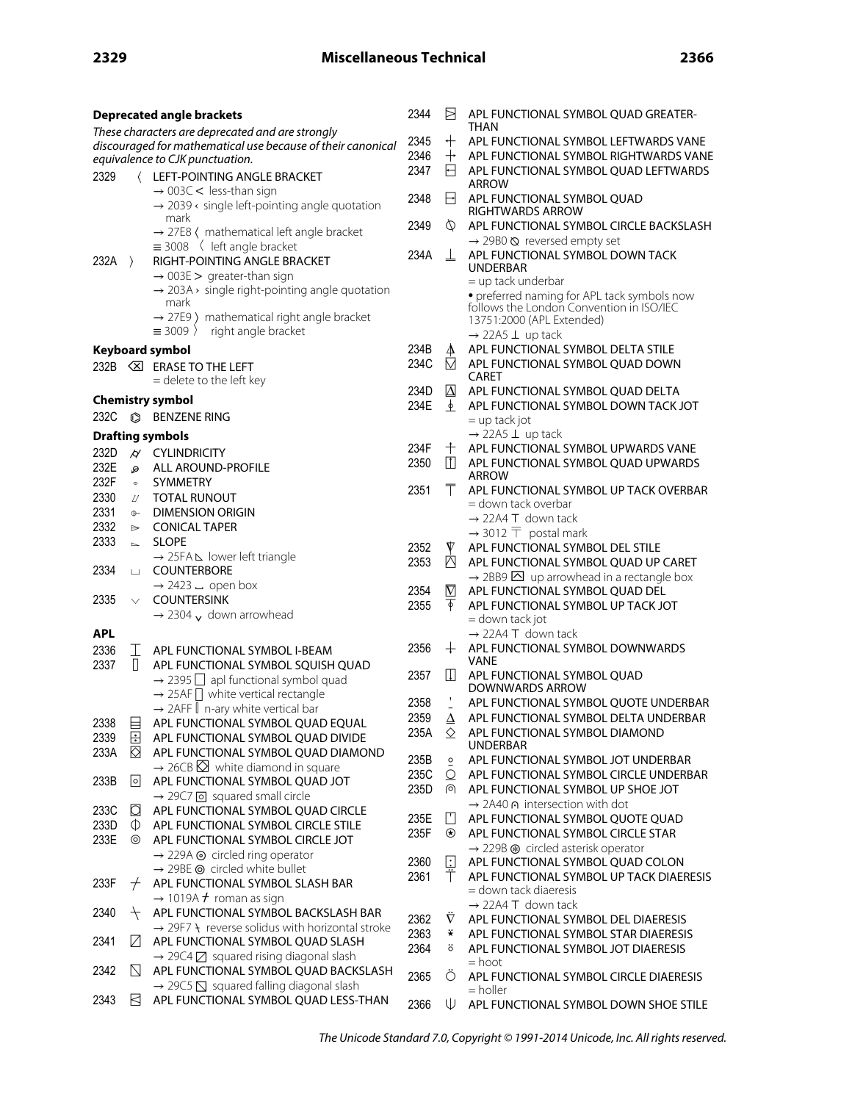|              |                     | <b>Deprecated angle brackets</b>                                                                     | 2344         | Ħ                             | APL FUNCTIONAL SYMBOL QUAD GREATER-                                           |
|--------------|---------------------|------------------------------------------------------------------------------------------------------|--------------|-------------------------------|-------------------------------------------------------------------------------|
|              |                     | These characters are deprecated and are strongly                                                     |              |                               | THAN                                                                          |
|              |                     | discouraged for mathematical use because of their canonical                                          | 2345<br>2346 | $+$<br>$\,+\,$                | APL FUNCTIONAL SYMBOL LEFTWARDS VANE<br>APL FUNCTIONAL SYMBOL RIGHTWARDS VANE |
|              |                     | equivalence to CJK punctuation.                                                                      | 2347         | ⊟                             | APL FUNCTIONAL SYMBOL QUAD LEFTWARDS                                          |
| 2329         |                     | (LEFT-POINTING ANGLE BRACKET                                                                         |              |                               | <b>ARROW</b>                                                                  |
|              |                     | $\rightarrow$ 003C < less-than sign<br>$\rightarrow$ 2039 < single left-pointing angle quotation     | 2348         | H                             | APL FUNCTIONAL SYMBOL QUAD                                                    |
|              |                     | mark<br>$\rightarrow$ 27E8 ( mathematical left angle bracket                                         | 2349         | Ø                             | <b>RIGHTWARDS ARROW</b><br>APL FUNCTIONAL SYMBOL CIRCLE BACKSLASH             |
|              |                     | $\equiv$ 3008 $\langle$ left angle bracket                                                           |              |                               | → 29B0 & reversed empty set                                                   |
| $232A$ $>$   |                     | RIGHT-POINTING ANGLE BRACKET                                                                         | 234A         | ⊥                             | APL FUNCTIONAL SYMBOL DOWN TACK<br><b>UNDERBAR</b>                            |
|              |                     | $\rightarrow$ 003E > greater-than sign<br>$\rightarrow$ 203A > single right-pointing angle quotation |              |                               | $=$ up tack underbar                                                          |
|              |                     | mark                                                                                                 |              |                               | · preferred naming for APL tack symbols now                                   |
|              |                     | $\rightarrow$ 27E9 ) mathematical right angle bracket                                                |              |                               | follows the London Convention in ISO/IEC<br>13751:2000 (APL Extended)         |
|              |                     | $\equiv$ 3009 $\angle$ right angle bracket                                                           |              |                               | $\rightarrow$ 22A5 $\perp$ up tack                                            |
|              |                     | <b>Keyboard symbol</b>                                                                               | 234B         | $\blacktriangle$              | APL FUNCTIONAL SYMBOL DELTA STILE                                             |
|              |                     | 232B <b>SI</b> ERASE TO THE LEFT                                                                     | 234C         | Ň                             | APL FUNCTIONAL SYMBOL QUAD DOWN                                               |
|              |                     | = delete to the left key                                                                             |              |                               | CARET                                                                         |
|              |                     | <b>Chemistry symbol</b>                                                                              | 234D<br>234E | $\Delta$<br>$\overline{\Phi}$ | APL FUNCTIONAL SYMBOL QUAD DELTA                                              |
| 232C         | $\circledcirc$      | <b>BENZENE RING</b>                                                                                  |              |                               | APL FUNCTIONAL SYMBOL DOWN TACK JOT<br>$=$ up tack jot                        |
|              |                     | <b>Drafting symbols</b>                                                                              |              |                               | $\rightarrow$ 22A5 $\perp$ up tack                                            |
| 232D         | $\overline{\omega}$ | <b>CYLINDRICITY</b>                                                                                  | 234F         | 十                             | APL FUNCTIONAL SYMBOL UPWARDS VANE                                            |
| 232E         | Ø.                  | ALL AROUND-PROFILE                                                                                   | 2350         | m                             | APL FUNCTIONAL SYMBOL QUAD UPWARDS                                            |
| 232F         | $\pm$               | <b>SYMMETRY</b>                                                                                      |              |                               | <b>ARROW</b>                                                                  |
| 2330         | IJ                  | <b>TOTAL RUNOUT</b>                                                                                  | 2351         | Τ                             | APL FUNCTIONAL SYMBOL UP TACK OVERBAR<br>= down tack overbar                  |
| 2331         | $\oplus$            | <b>DIMENSION ORIGIN</b>                                                                              |              |                               | $\rightarrow$ 22A4 T down tack                                                |
| 2332         | $\Rightarrow$       | <b>CONICAL TAPER</b>                                                                                 |              |                               | $\rightarrow$ 3012 $\overline{T}$ postal mark                                 |
| 2333         | $\sim$              | <b>SLOPE</b>                                                                                         | 2352         | ▼                             | APL FUNCTIONAL SYMBOL DEL STILE                                               |
| 2334         | ш                   | → 25FA L lower left triangle<br>COUNTERBORE                                                          | 2353         | ⊠                             | APL FUNCTIONAL SYMBOL QUAD UP CARET                                           |
|              |                     | $\rightarrow$ 2423 $\overline{ }$ open box                                                           |              |                               | $\rightarrow$ 2BB9 $\overline{\triangle}$ up arrowhead in a rectangle box     |
| 2335         | $\vee$              | <b>COUNTERSINK</b>                                                                                   | 2354<br>2355 | $\nabla$<br>$\overline{\phi}$ | APL FUNCTIONAL SYMBOL QUAD DEL<br>APL FUNCTIONAL SYMBOL UP TACK JOT           |
|              |                     | $\rightarrow$ 2304 $\sqrt{\ }$ down arrowhead                                                        |              |                               | = down tack jot                                                               |
| <b>APL</b>   |                     |                                                                                                      |              |                               | $\rightarrow$ 22A4 T down tack                                                |
| 2336         | T                   | APL FUNCTIONAL SYMBOL I-BEAM                                                                         | 2356         |                               | $+$ APL FUNCTIONAL SYMBOL DOWNWARDS                                           |
| 2337         | $\Box$              | APL FUNCTIONAL SYMBOL SQUISH QUAD                                                                    | 2357         | $\Box$                        | VANE<br>APL FUNCTIONAL SYMBOL QUAD                                            |
|              |                     | $\rightarrow$ 2395 $\Box$ apl functional symbol quad                                                 |              |                               | <b>DOWNWARDS ARROW</b>                                                        |
|              |                     | $\rightarrow$ 25AF $\Box$ white vertical rectangle<br>→ 2AFF   n-ary white vertical bar              | 2358         |                               | APL FUNCTIONAL SYMBOL QUOTE UNDERBAR                                          |
| 2338         | ⊟                   | APL FUNCTIONAL SYMBOL QUAD EQUAL                                                                     | 2359         | Δ                             | APL FUNCTIONAL SYMBOL DELTA UNDERBAR                                          |
| 2339         | ⊟                   | APL FUNCTIONAL SYMBOL QUAD DIVIDE                                                                    | 235A         | ♦                             | APL FUNCTIONAL SYMBOL DIAMOND                                                 |
| 233A         | K)                  | APL FUNCTIONAL SYMBOL QUAD DIAMOND                                                                   |              |                               | <b>UNDERBAR</b>                                                               |
|              |                     | $\rightarrow$ 26CB $\boxtimes$ white diamond in square                                               | 235B<br>235C | $\circ$<br>O                  | APL FUNCTIONAL SYMBOL JOT UNDERBAR<br>APL FUNCTIONAL SYMBOL CIRCLE UNDERBAR   |
| 233B         | 0                   | APL FUNCTIONAL SYMBOL QUAD JOT                                                                       | 235D         | ര                             | APL FUNCTIONAL SYMBOL UP SHOE JOT                                             |
|              |                     | → 29C7 o squared small circle                                                                        |              |                               | → 2A40 ∩ intersection with dot                                                |
| 233C<br>233D | d<br>$\mathbb{O}$   | APL FUNCTIONAL SYMBOL QUAD CIRCLE<br>APL FUNCTIONAL SYMBOL CIRCLE STILE                              | 235E         | l'I                           | APL FUNCTIONAL SYMBOL QUOTE QUAD                                              |
| 233E         | ⊚                   | APL FUNCTIONAL SYMBOL CIRCLE JOT                                                                     | 235F         | ⊛                             | APL FUNCTIONAL SYMBOL CIRCLE STAR                                             |
|              |                     | $\rightarrow$ 229A $\odot$ circled ring operator                                                     |              |                               | → 229B <sup>®</sup> circled asterisk operator                                 |
|              |                     | $\rightarrow$ 29BE $\odot$ circled white bullet                                                      | 2360         | $\boxdot$                     | APL FUNCTIONAL SYMBOL QUAD COLON                                              |
| 233F         | $^{+}$              | APL FUNCTIONAL SYMBOL SLASH BAR                                                                      | 2361         | Т                             | APL FUNCTIONAL SYMBOL UP TACK DIAERESIS<br>= down tack diaeresis              |
|              |                     | $\rightarrow$ 1019A $\neq$ roman as sign                                                             |              |                               | → 22A4 T down tack                                                            |
| 2340         | $^{+}$              | APL FUNCTIONAL SYMBOL BACKSLASH BAR                                                                  | 2362         | $\nabla$                      | APL FUNCTIONAL SYMBOL DEL DIAERESIS                                           |
| 2341         | И                   | $\rightarrow$ 29F7 \ reverse solidus with horizontal stroke<br>APL FUNCTIONAL SYMBOL QUAD SLASH      | 2363         | ₩                             | APL FUNCTIONAL SYMBOL STAR DIAERESIS                                          |
|              |                     | $\rightarrow$ 29C4 $\boxtimes$ squared rising diagonal slash                                         | 2364         | ö                             | APL FUNCTIONAL SYMBOL JOT DIAERESIS                                           |
| 2342         | N                   | APL FUNCTIONAL SYMBOL QUAD BACKSLASH                                                                 |              |                               | = hoot                                                                        |
|              |                     | $\rightarrow$ 29C5 $\overline{S}$ squared falling diagonal slash                                     | 2365         | О                             | APL FUNCTIONAL SYMBOL CIRCLE DIAERESIS<br>= holler                            |
| 2343         | ⊠                   | APL FUNCTIONAL SYMBOL QUAD LESS-THAN                                                                 | 2366         | ⋓                             | APL FUNCTIONAL SYMBOL DOWN SHOE STILE                                         |

The Unicode Standard 7.0, Copyright © 1991-2014 Unicode, Inc. All rights reserved.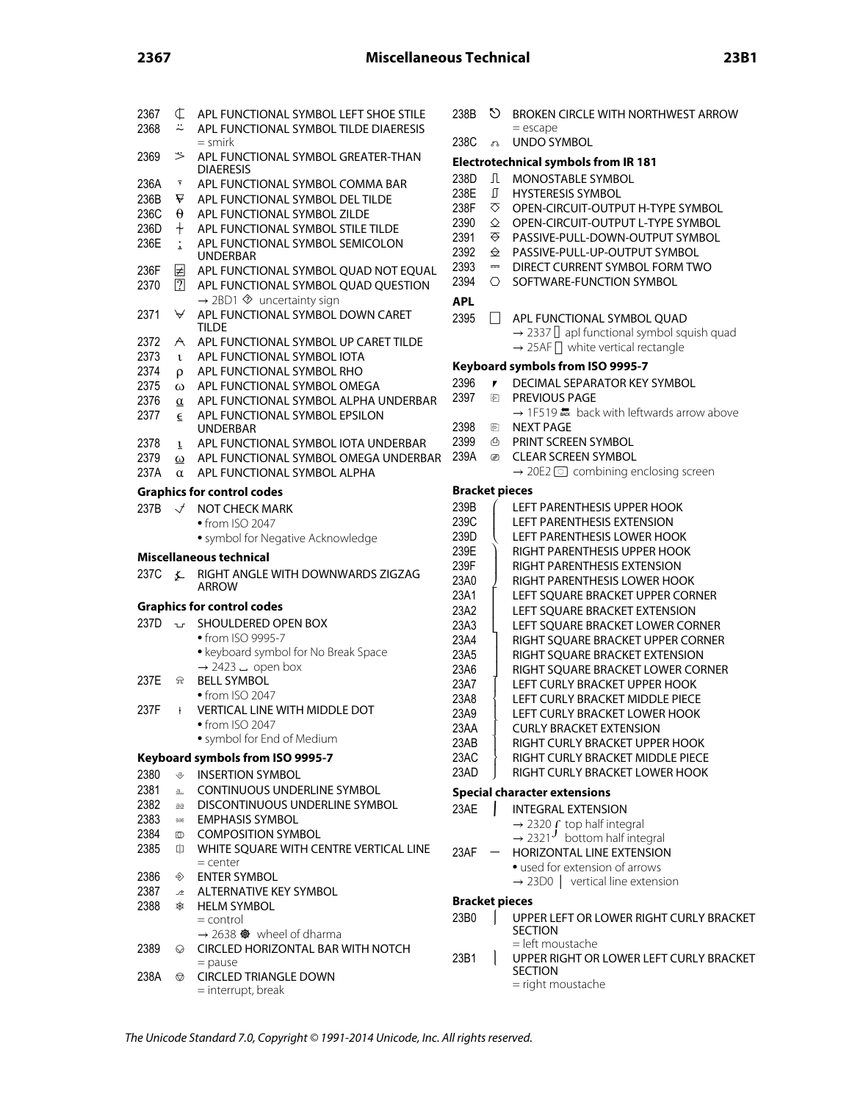| 2367<br>2368 | ¢<br>≈                  | APL FUNCTIONAL SYMBOL LEFT SHOE STILE<br>APL FUNCTIONAL SYMBOL TILDE DIAERESIS<br>= smirk | 238B<br>238C     | ১            |
|--------------|-------------------------|-------------------------------------------------------------------------------------------|------------------|--------------|
| 2369         | ジ                       | APL FUNCTIONAL SYMBOL GREATER-THAN                                                        | Electrote        | ನಿ           |
|              |                         | <b>DIAERESIS</b>                                                                          | 238D             | Л            |
| 236A         | $\overline{\mathbf{z}}$ | APL FUNCTIONAL SYMBOL COMMA BAR                                                           | 238E             | ∬            |
| 236B         | ₩                       | APL FUNCTIONAL SYMBOL DEL TILDE                                                           | 238F             | ⊽            |
| 236C         | θ                       | APL FUNCTIONAL SYMBOL ZILDE                                                               |                  |              |
| 236D         | ┿                       | APL FUNCTIONAL SYMBOL STILE TILDE                                                         | 2390             | ♦            |
| 236E         | $\ddot{\cdot}$          | APL FUNCTIONAL SYMBOL SEMICOLON                                                           | 2391             | <del>⊘</del> |
|              |                         | <b>UNDERBAR</b>                                                                           | 2392             | $\triangle$  |
| 236F         | 团                       | APL FUNCTIONAL SYMBOL QUAD NOT EQUAL                                                      | 2393             | =            |
| 2370         | $\boxed{?}$             | APL FUNCTIONAL SYMBOL QUAD QUESTION                                                       | 2394             | O            |
|              |                         | $\rightarrow$ 2BD1 $\otimes$ uncertainty sign                                             | <b>APL</b>       |              |
| 2371         | $\forall$               | APL FUNCTIONAL SYMBOL DOWN CARET                                                          | 2395             | ⊔            |
|              |                         | <b>TILDE</b>                                                                              |                  |              |
| 2372         | A                       | APL FUNCTIONAL SYMBOL UP CARET TILDE                                                      |                  |              |
| 2373         | $\mathbf{t}$            | APL FUNCTIONAL SYMBOL IOTA                                                                |                  |              |
| 2374         | ρ                       | APL FUNCTIONAL SYMBOL RHO                                                                 | Keyboar          |              |
| 2375         | ω                       | APL FUNCTIONAL SYMBOL OMEGA                                                               | 2396             | ₹.           |
| 2376         |                         | APL FUNCTIONAL SYMBOL ALPHA UNDERBAR                                                      | 2397             | €            |
|              | $\alpha$                |                                                                                           |                  |              |
| 2377         | $\epsilon$              | APL FUNCTIONAL SYMBOL EPSILON<br><b>UNDERBAR</b>                                          | 2398             | €            |
|              |                         |                                                                                           | 2399             | ❹            |
| 2378         | $\mathbf{L}$            | APL FUNCTIONAL SYMBOL IOTA UNDERBAR                                                       | 239A             |              |
| 2379         | ω                       | APL FUNCTIONAL SYMBOL OMEGA UNDERBAR                                                      |                  | ▨            |
| 237A         | α                       | APL FUNCTIONAL SYMBOL ALPHA                                                               |                  |              |
|              |                         | <b>Graphics for control codes</b>                                                         | <b>Bracket</b>   |              |
| 237B         | $\mathcal{A}$           | <b>NOT CHECK MARK</b>                                                                     | 239B             |              |
|              |                         | • from ISO 2047                                                                           | 239C             |              |
|              |                         |                                                                                           | 239D             |              |
|              |                         | · symbol for Negative Acknowledge                                                         | 239E             |              |
|              |                         | Miscellaneous technical                                                                   | 239F             |              |
| 237C         | 廴                       | RIGHT ANGLE WITH DOWNWARDS ZIGZAG                                                         |                  |              |
|              |                         |                                                                                           |                  |              |
|              |                         | <b>ARROW</b>                                                                              | 23A0             |              |
|              |                         |                                                                                           | 23A1             |              |
|              |                         | <b>Graphics for control codes</b>                                                         | 23A2             |              |
| 237D         | ٦L٢.                    | SHOULDERED OPEN BOX                                                                       | 23A3             |              |
|              |                         | • from ISO 9995-7                                                                         | 23A4             |              |
|              |                         | · keyboard symbol for No Break Space                                                      | 23A5             |              |
|              |                         | $\rightarrow$ 2423 $\overline{a}$ open box                                                | 23A6             |              |
| 237E         | 요                       | <b>BELL SYMBOL</b>                                                                        | 23A7             |              |
|              |                         | • from ISO 2047                                                                           |                  |              |
| 237F         | ł                       |                                                                                           | 23A8             |              |
|              |                         | VERTICAL LINE WITH MIDDLE DOT                                                             | 23A9             |              |
|              |                         | $\bullet$ from ISO 2047 $\,$                                                              | 23AA             |              |
|              |                         | · symbol for End of Medium                                                                | 23AB             |              |
|              |                         | Keyboard symbols from ISO 9995-7                                                          | 23AC             |              |
| 2380         | ♦                       | <b>INSERTION SYMBOL</b>                                                                   | 23AD             |              |
|              | a                       | CONTINUOUS UNDERLINE SYMBOL                                                               |                  |              |
| 2381         |                         |                                                                                           | <b>Special c</b> |              |
| 2382         | aa                      | DISCONTINUOUS UNDERLINE SYMBOL                                                            | 23AE             |              |
| 2383         | 送                       | <b>EMPHASIS SYMBOL</b>                                                                    |                  |              |
| 2384         | $^\circledR$            | <b>COMPOSITION SYMBOL</b>                                                                 |                  |              |
| 2385         | 따                       | WHITE SOUARE WITH CENTRE VERTICAL LINE                                                    | 23AF             |              |
|              |                         | $=$ center                                                                                |                  |              |
| 2386         | ◈                       | <b>ENTER SYMBOL</b>                                                                       |                  |              |
| 2387         | 少                       | ALTERNATIVE KEY SYMBOL                                                                    |                  |              |
| 2388         | ₩                       | <b>HELM SYMBOL</b>                                                                        | <b>Bracket</b>   |              |
|              |                         | = control                                                                                 | 23B0             |              |
|              |                         | $\rightarrow$ 2638 $\bullet\bullet$ wheel of dharma                                       |                  |              |
| 2389         | ⊙                       | CIRCLED HORIZONTAL BAR WITH NOTCH                                                         |                  |              |
|              |                         | $=$ pause                                                                                 | 23B1             |              |
| 238A         | ◎                       | <b>CIRCLED TRIANGLE DOWN</b><br>= interrupt, break                                        |                  |              |

|   | 238B                  | O           | <b>BROKEN CIRCLE WITH NORTHWEST ARROW</b>                          |
|---|-----------------------|-------------|--------------------------------------------------------------------|
|   | 238C                  | e,          | $=$ escape<br><b>UNDO SYMBOL</b>                                   |
|   |                       |             | <b>Electrotechnical symbols from IR 181</b>                        |
|   | 238D                  | Л           | MONOSTABLE SYMBOL                                                  |
|   | 238E                  | I           | <b>HYSTERESIS SYMBOL</b>                                           |
|   | 238F                  | ឃ           | OPEN-CIRCUIT-OUTPUT H-TYPE SYMBOL                                  |
|   | 2390                  | ♦           | OPEN-CIRCUIT-OUTPUT L-TYPE SYMBOL                                  |
|   | 2391                  | <del></del> | PASSIVE-PULL-DOWN-OUTPUT SYMBOL                                    |
|   | 2392                  | $\triangle$ | PASSIVE-PULL-UP-OUTPUT SYMBOL                                      |
|   | 2393                  | $\equiv$    | DIRECT CURRENT SYMBOL FORM TWO                                     |
|   | 2394                  | O           | SOFTWARE-FUNCTION SYMBOL                                           |
|   |                       |             |                                                                    |
|   | <b>APL</b>            |             |                                                                    |
|   | 2395                  | $\perp$     | APL FUNCTIONAL SYMBOL QUAD                                         |
|   |                       |             | $\rightarrow$ 2337 $\Box$ apl functional symbol squish quad        |
|   |                       |             | $\rightarrow$ 25AF $\Box$ white vertical rectangle                 |
|   |                       |             | Keyboard symbols from ISO 9995-7                                   |
|   | 2396                  | 1           | DECIMAL SEPARATOR KEY SYMBOL                                       |
|   | 2397                  | F           | PREVIOUS PAGE                                                      |
|   |                       |             | → 1F519 La back with leftwards arrow above                         |
|   | 2398                  | €           | <b>NEXT PAGE</b>                                                   |
|   | 2399                  | ₾           | PRINT SCREEN SYMBOL                                                |
| R | 239A                  | ▨           | <b>CLEAR SCREEN SYMBOL</b>                                         |
|   |                       |             | $\rightarrow$ 20E2 $\odot$ combining enclosing screen              |
|   | <b>Bracket pieces</b> |             |                                                                    |
|   | 239B                  |             | LEFT PARENTHESIS UPPER HOOK                                        |
|   | 239C                  |             | <b>LEFT PARENTHESIS EXTENSION</b>                                  |
|   | 239D                  |             | LEFT PARENTHESIS LOWER HOOK                                        |
|   | 239E                  |             | RIGHT PARENTHESIS UPPER HOOK                                       |
|   | 239F                  |             | RIGHT PARENTHESIS EXTENSION                                        |
|   | 23A0                  |             | RIGHT PARENTHESIS LOWER HOOK                                       |
|   | 23A1                  |             | LEFT SQUARE BRACKET UPPER CORNER                                   |
|   | 23A2                  |             | LEFT SQUARE BRACKET EXTENSION                                      |
|   | 23A3                  |             | LEFT SQUARE BRACKET LOWER CORNER                                   |
|   | 23A4                  |             | RIGHT SQUARE BRACKET UPPER CORNER                                  |
|   | 23A5                  |             | RIGHT SQUARE BRACKET EXTENSION                                     |
|   | 23A6                  |             |                                                                    |
|   | 23A7                  |             | RIGHT SQUARE BRACKET LOWER CORNER<br>LEFT CURLY BRACKET UPPER HOOK |
|   |                       |             | LEFT CURLY BRACKET MIDDLE PIECE                                    |
|   | 23A8<br>23A9          |             |                                                                    |
|   |                       |             | LEFT CURLY BRACKET LOWER HOOK<br>CURI Y RRACKET EXTENSION          |
|   | 23AA                  |             |                                                                    |
|   | 23AB                  |             | RIGHT CURLY BRACKET UPPER HOOK                                     |
|   | 23AC<br>23AD          |             | RIGHT CURLY BRACKET MIDDLE PIECE<br>RIGHT CURLY BRACKET LOWER HOOK |
|   |                       |             |                                                                    |
|   |                       |             | <b>Special character extensions</b>                                |
|   | 23AE                  |             | <b>INTEGRAL EXTENSION</b>                                          |
|   |                       |             | $\rightarrow$ 2320 $\Gamma$ top half integral                      |
|   |                       |             | $\rightarrow$ 2321 <sup>J</sup> bottom half integral               |
|   | 23AF                  |             | HORIZONTAL LINE EXTENSION                                          |
|   |                       |             | • used for extension of arrows                                     |
|   |                       |             | $\rightarrow$ 23D0   vertical line extension                       |
|   | <b>Bracket pieces</b> |             |                                                                    |
|   | 23B0                  |             | UPPER LEFT OR LOWER RIGHT CURLY BRACKET                            |
|   |                       |             | SECTION                                                            |
|   |                       |             | = left moustache                                                   |
|   | 23B1                  |             | UPPER RIGHT OR LOWER LEFT CURLY BRACKET<br><b>SECTION</b>          |
|   |                       |             | = right moustache                                                  |
|   |                       |             |                                                                    |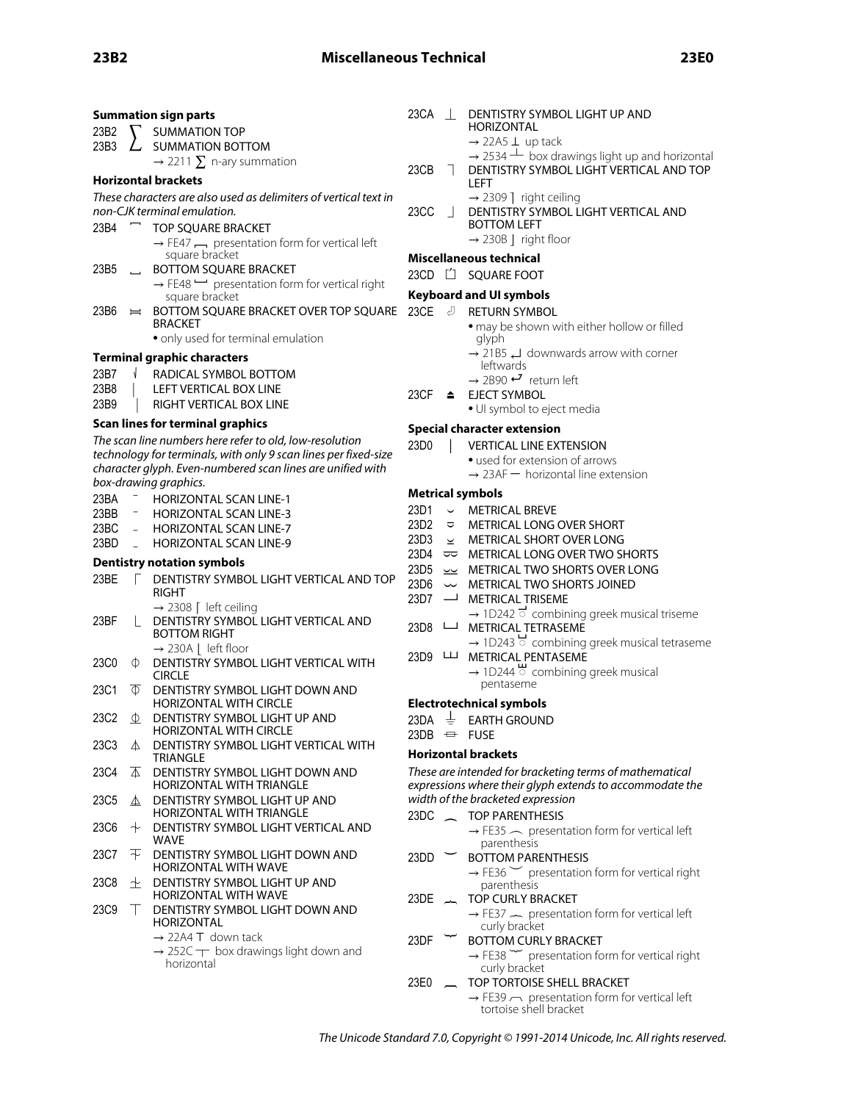| 23B2 |                          | <b>Summation sign parts</b><br><b>SUMMATION TOP</b>                                     | 23CA                     | $\Box$ | DENTISTRY SYMBOL LIGHT UP AND<br>HORIZONTAL                                        |
|------|--------------------------|-----------------------------------------------------------------------------------------|--------------------------|--------|------------------------------------------------------------------------------------|
| 23B3 |                          | SUMMATION BOTTOM                                                                        |                          |        | $\rightarrow$ 22A5 $\perp$ up tack                                                 |
|      |                          | $\rightarrow$ 2211 $\Sigma$ n-ary summation                                             |                          |        | $\rightarrow$ 2534 $\pm$ box drawings light up and horizontal                      |
|      |                          | <b>Horizontal brackets</b>                                                              | 23CB                     |        | DENTISTRY SYMBOL LIGHT VERTICAL AND TOP<br>LEFT                                    |
|      |                          | These characters are also used as delimiters of vertical text in                        |                          |        | $\rightarrow$ 2309 ] right ceiling                                                 |
|      |                          | non-CJK terminal emulation.                                                             | 23CC                     |        | DENTISTRY SYMBOL LIGHT VERTICAL AND                                                |
| 23B4 | $\overline{\phantom{0}}$ | TOP SQUARE BRACKET                                                                      |                          |        | <b>BOTTOM LEFT</b>                                                                 |
|      |                          | $\rightarrow$ FE47 $\rightarrow$ presentation form for vertical left                    |                          |        | $\rightarrow$ 230B   right floor                                                   |
|      |                          | square bracket                                                                          |                          |        | <b>Miscellaneous technical</b>                                                     |
| 23B5 |                          | BOTTOM SQUARE BRACKET                                                                   |                          |        | 23CD [1 SQUARE FOOT                                                                |
|      |                          | $\rightarrow$ FE48 $\rightarrow$ presentation form for vertical right<br>square bracket |                          |        | <b>Keyboard and UI symbols</b>                                                     |
| 23B6 | $\equiv$                 | BOTTOM SQUARE BRACKET OVER TOP SQUARE                                                   | 23CE $\sqrt{2}$          |        | <b>RETURN SYMBOL</b>                                                               |
|      |                          | <b>BRACKET</b>                                                                          |                          |        | • may be shown with either hollow or filled                                        |
|      |                          | • only used for terminal emulation                                                      |                          |        | glyph                                                                              |
|      |                          | Terminal graphic characters                                                             |                          |        | $\rightarrow$ 21B5 $\rightarrow$ downwards arrow with corner                       |
| 23B7 |                          | RADICAL SYMBOL BOTTOM                                                                   |                          |        | leftwards                                                                          |
| 23B8 |                          | LEFT VERTICAL BOX LINE                                                                  |                          |        | $\rightarrow$ 2B90 $\rightarrow$ return left                                       |
| 23B9 |                          | RIGHT VERTICAL BOX LINE                                                                 | 23CF                     | ≜      | <b>EJECT SYMBOL</b><br>· UI symbol to eject media                                  |
|      |                          | Scan lines for terminal graphics                                                        |                          |        |                                                                                    |
|      |                          | The scan line numbers here refer to old, low-resolution                                 |                          |        | <b>Special character extension</b>                                                 |
|      |                          | technology for terminals, with only 9 scan lines per fixed-size                         | 23D0                     |        | <b>VERTICAL LINE EXTENSION</b>                                                     |
|      |                          | character glyph. Even-numbered scan lines are unified with                              |                          |        | • used for extension of arrows<br>$\rightarrow$ 23AF $-$ horizontal line extension |
|      |                          | box-drawing graphics.                                                                   |                          |        |                                                                                    |
| 23BA |                          | HORIZONTAL SCAN LINE-1                                                                  |                          |        | <b>Metrical symbols</b>                                                            |
| 23BB |                          | <b>HORIZONTAL SCAN LINE-3</b>                                                           | 23D1                     |        | $\sim$ METRICAL BREVE                                                              |
| 23BC | $\equiv$                 | HORIZONTAL SCAN LINE-7                                                                  | 23D <sub>2</sub><br>23D3 | ≂      | METRICAL LONG OVER SHORT<br>$\leq$ METRICAL SHORT OVER LONG                        |
| 23BD | $\overline{a}$           | <b>HORIZONTAL SCAN LINE-9</b>                                                           |                          |        | 23D4 $\Rightarrow$ METRICAL LONG OVER TWO SHORTS                                   |
|      |                          | <b>Dentistry notation symbols</b>                                                       |                          |        | 23D5 >> METRICAL TWO SHORTS OVER LONG                                              |
| 23BE |                          | DENTISTRY SYMBOL LIGHT VERTICAL AND TOP                                                 | 23D6                     |        | $\sim$ METRICAL TWO SHORTS JOINED                                                  |
|      |                          | RIGHT                                                                                   |                          |        | 23D7 - METRICAL TRISEME                                                            |
|      |                          | $\rightarrow$ 2308 [ left ceiling                                                       |                          |        | $\rightarrow$ 1D242 $\overline{\circ}$ combining greek musical triseme             |
| 23BF |                          | DENTISTRY SYMBOL LIGHT VERTICAL AND<br><b>BOTTOM RIGHT</b>                              | 23D8                     | ட      | METRICAL TETRASEME                                                                 |
|      |                          | $\rightarrow$ 230A   left floor                                                         |                          |        | → 1D243 Combining greek musical tetraseme                                          |
| 23C0 | Ф                        | DENTISTRY SYMBOL LIGHT VERTICAL WITH                                                    | $23D9$ $\quad$           |        | METRICAL PENTASEME                                                                 |
|      |                          | <b>CIRCLE</b>                                                                           |                          |        | $\rightarrow$ 1D244 $\rightarrow$ combining greek musical                          |
| 23C1 | $\Phi$                   | DENTISTRY SYMBOL LIGHT DOWN AND                                                         |                          |        | pentaseme                                                                          |
|      |                          | <b>HORIZONTAL WITH CIRCLE</b>                                                           |                          |        | <b>Electrotechnical symbols</b>                                                    |
| 23C2 | Φ                        | DENTISTRY SYMBOL LIGHT UP AND<br>HORIZONTAL WITH CIRCLE                                 |                          |        | 23DA $\pm$ EARTH GROUND                                                            |
| 23C3 | ∆                        | DENTISTRY SYMBOL LIGHT VERTICAL WITH                                                    |                          |        | $23DB \leftrightarrow FUSE$                                                        |
|      |                          | <b>TRIANGLE</b>                                                                         |                          |        | <b>Horizontal brackets</b>                                                         |
| 23C4 | ◭                        | DENTISTRY SYMBOL LIGHT DOWN AND                                                         |                          |        | These are intended for bracketing terms of mathematical                            |
|      |                          | HORIZONTAL WITH TRIANGLE                                                                |                          |        | expressions where their glyph extends to accommodate the                           |
| 23C5 | $\Delta$                 | DENTISTRY SYMBOL LIGHT UP AND<br><b>HORIZONTAL WITH TRIANGLE</b>                        |                          |        | width of the bracketed expression                                                  |
| 23C6 | $\div$                   | DENTISTRY SYMBOL LIGHT VERTICAL AND                                                     |                          |        | 23DC _ TOP PARENTHESIS                                                             |
|      |                          | WAVE                                                                                    |                          |        | $\rightarrow$ FE35 $\sim$ presentation form for vertical left<br>parenthesis       |
| 23C7 | ᆍ                        | DENTISTRY SYMBOL LIGHT DOWN AND                                                         | 23DD                     |        | <b>BOTTOM PARENTHESIS</b>                                                          |
|      |                          | HORIZONTAL WITH WAVE                                                                    |                          |        | $\rightarrow$ FE36 $\sim$ presentation form for vertical right                     |
| 23C8 | 土                        | DENTISTRY SYMBOL LIGHT UP AND<br><b>HORIZONTAL WITH WAVE</b>                            |                          |        | parenthesis                                                                        |
| 23C9 |                          | DENTISTRY SYMBOL LIGHT DOWN AND                                                         | 23DE $\sim$              |        | <b>TOP CURLY BRACKET</b>                                                           |
|      |                          | HORIZONTAL                                                                              |                          |        | $\rightarrow$ FE37 $\sim$ presentation form for vertical left<br>curly bracket     |
|      |                          | $\rightarrow$ 22A4 T down tack                                                          | 23DF                     |        | <b>BOTTOM CURLY BRACKET</b>                                                        |
|      |                          | $\rightarrow$ 252C $\rightarrow$ box drawings light down and                            |                          |        | $\rightarrow$ FE38 $\sim$ presentation form for vertical right                     |
|      |                          | horizontal                                                                              |                          |        | curly bracket                                                                      |

- 23E0 
 TOP TORTOISE SHELL BRACKET
	- $\rightarrow$  FE39  $\rightarrow$  presentation form for vertical left tortoise shell bracket